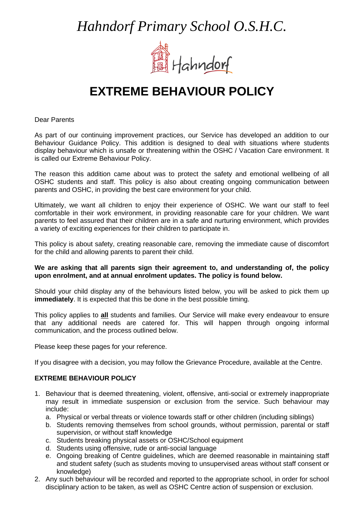*Hahndorf Primary School O.S.H.C.* 



## **EXTREME BEHAVIOUR POLICY**

Dear Parents

As part of our continuing improvement practices, our Service has developed an addition to our Behaviour Guidance Policy. This addition is designed to deal with situations where students display behaviour which is unsafe or threatening within the OSHC / Vacation Care environment. It is called our Extreme Behaviour Policy.

The reason this addition came about was to protect the safety and emotional wellbeing of all OSHC students and staff. This policy is also about creating ongoing communication between parents and OSHC, in providing the best care environment for your child.

Ultimately, we want all children to enjoy their experience of OSHC. We want our staff to feel comfortable in their work environment, in providing reasonable care for your children. We want parents to feel assured that their children are in a safe and nurturing environment, which provides a variety of exciting experiences for their children to participate in.

This policy is about safety, creating reasonable care, removing the immediate cause of discomfort for the child and allowing parents to parent their child.

## **We are asking that all parents sign their agreement to, and understanding of, the policy upon enrolment, and at annual enrolment updates. The policy is found below.**

Should your child display any of the behaviours listed below, you will be asked to pick them up **immediately**. It is expected that this be done in the best possible timing.

This policy applies to **all** students and families. Our Service will make every endeavour to ensure that any additional needs are catered for. This will happen through ongoing informal communication, and the process outlined below.

Please keep these pages for your reference.

If you disagree with a decision, you may follow the Grievance Procedure, available at the Centre.

## **EXTREME BEHAVIOUR POLICY**

- 1. Behaviour that is deemed threatening, violent, offensive, anti-social or extremely inappropriate may result in immediate suspension or exclusion from the service. Such behaviour may include:
	- a. Physical or verbal threats or violence towards staff or other children (including siblings)
	- b. Students removing themselves from school grounds, without permission, parental or staff supervision, or without staff knowledge
	- c. Students breaking physical assets or OSHC/School equipment
	- d. Students using offensive, rude or anti-social language
	- e. Ongoing breaking of Centre guidelines, which are deemed reasonable in maintaining staff and student safety (such as students moving to unsupervised areas without staff consent or knowledge)
- 2. Any such behaviour will be recorded and reported to the appropriate school, in order for school disciplinary action to be taken, as well as OSHC Centre action of suspension or exclusion.